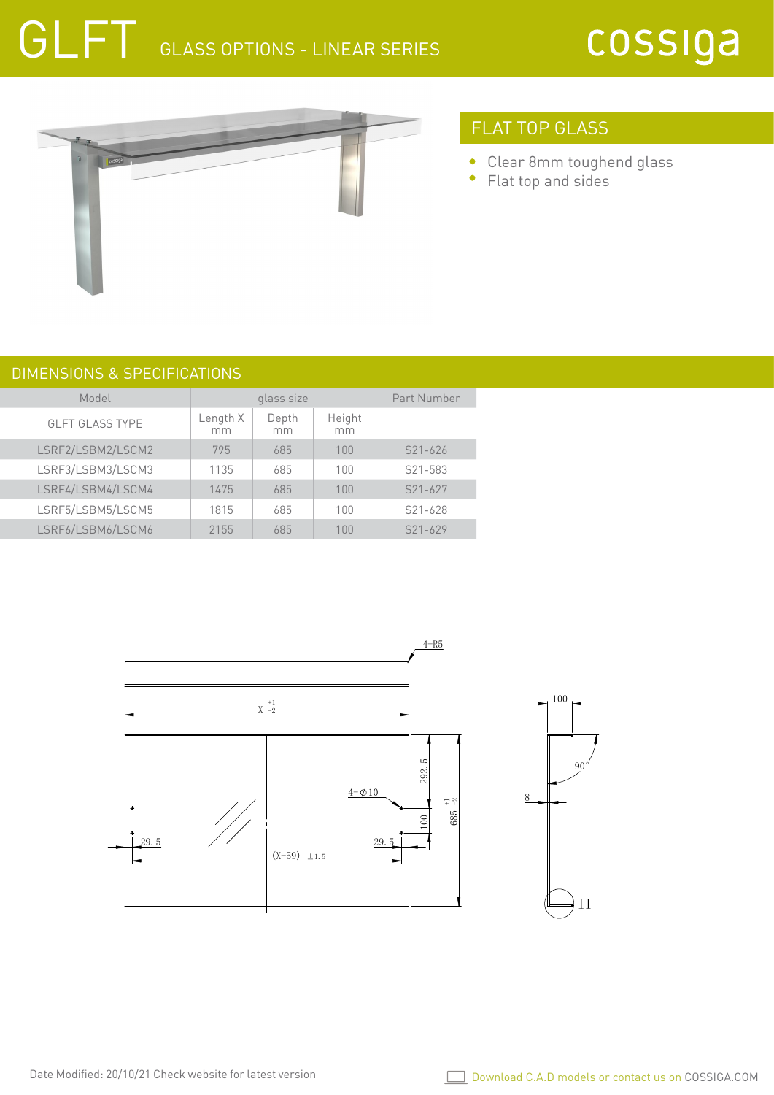# GLASS OPTIONS - LINEAR SERIES



## FLAT TOP GLASS

- Clear 8mm toughend glass  $\bullet$
- Flat top and sides  $\bullet$

### DIMENSIONS & SPECIFICATIONS

| Model                  | glass size     |             |              | Part Number |
|------------------------|----------------|-------------|--------------|-------------|
| <b>GLFT GLASS TYPE</b> | Length X<br>mm | Depth<br>mm | Height<br>mm |             |
| LSRF2/LSBM2/LSCM2      | 795            | 685         | 100          | $S21 - 626$ |
| LSRF3/LSBM3/LSCM3      | 1135           | 685         | 100          | S21-583     |
| LSRF4/LSBM4/LSCM4      | 1475           | 685         | 100          | $S21 - 627$ |
| LSRF5/LSBM5/LSCM5      | 1815           | 685         | 100          | $S21 - 628$ |
| LSRF6/LSBM6/LSCM6      | 2155           | 685         | 100          | $S21 - 629$ |





II

 $90^{\circ}$ 

100